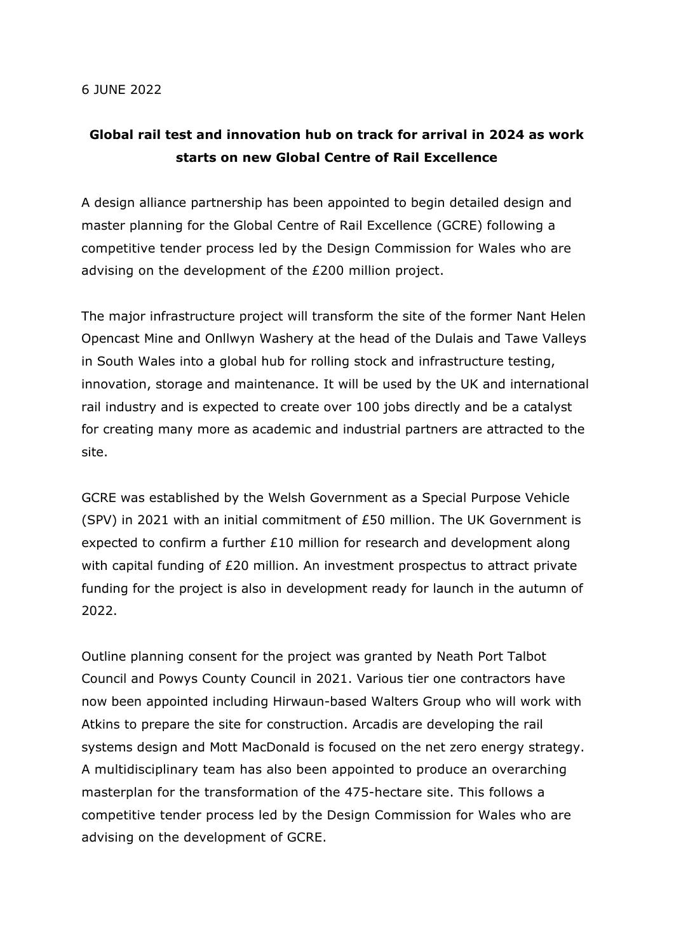## **Global rail test and innovation hub on track for arrival in 2024 as work starts on new Global Centre of Rail Excellence**

A design alliance partnership has been appointed to begin detailed design and master planning for the Global Centre of Rail Excellence (GCRE) following a competitive tender process led by the Design Commission for Wales who are advising on the development of the £200 million project.

The major infrastructure project will transform the site of the former Nant Helen Opencast Mine and Onllwyn Washery at the head of the Dulais and Tawe Valleys in South Wales into a global hub for rolling stock and infrastructure testing, innovation, storage and maintenance. It will be used by the UK and international rail industry and is expected to create over 100 jobs directly and be a catalyst for creating many more as academic and industrial partners are attracted to the site.

GCRE was established by the Welsh Government as a Special Purpose Vehicle (SPV) in 2021 with an initial commitment of £50 million. The UK Government is expected to confirm a further £10 million for research and development along with capital funding of £20 million. An investment prospectus to attract private funding for the project is also in development ready for launch in the autumn of 2022.

Outline planning consent for the project was granted by Neath Port Talbot Council and Powys County Council in 2021. Various tier one contractors have now been appointed including Hirwaun-based Walters Group who will work with Atkins to prepare the site for construction. Arcadis are developing the rail systems design and Mott MacDonald is focused on the net zero energy strategy. A multidisciplinary team has also been appointed to produce an overarching masterplan for the transformation of the 475-hectare site. This follows a competitive tender process led by the Design Commission for Wales who are advising on the development of GCRE.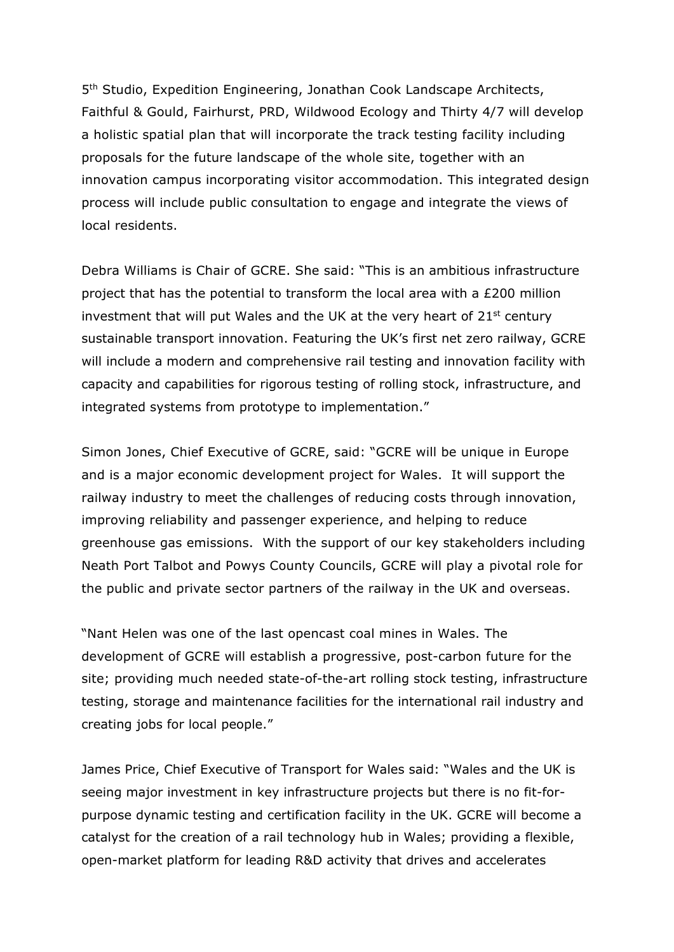5th Studio, Expedition Engineering, Jonathan Cook Landscape Architects, Faithful & Gould, Fairhurst, PRD, Wildwood Ecology and Thirty 4/7 will develop a holistic spatial plan that will incorporate the track testing facility including proposals for the future landscape of the whole site, together with an innovation campus incorporating visitor accommodation. This integrated design process will include public consultation to engage and integrate the views of local residents.

Debra Williams is Chair of GCRE. She said: "This is an ambitious infrastructure project that has the potential to transform the local area with a £200 million investment that will put Wales and the UK at the very heart of  $21^{st}$  century sustainable transport innovation. Featuring the UK's first net zero railway, GCRE will include a modern and comprehensive rail testing and innovation facility with capacity and capabilities for rigorous testing of rolling stock, infrastructure, and integrated systems from prototype to implementation."

Simon Jones, Chief Executive of GCRE, said: "GCRE will be unique in Europe and is a major economic development project for Wales. It will support the railway industry to meet the challenges of reducing costs through innovation, improving reliability and passenger experience, and helping to reduce greenhouse gas emissions. With the support of our key stakeholders including Neath Port Talbot and Powys County Councils, GCRE will play a pivotal role for the public and private sector partners of the railway in the UK and overseas.

"Nant Helen was one of the last opencast coal mines in Wales. The development of GCRE will establish a progressive, post-carbon future for the site; providing much needed state-of-the-art rolling stock testing, infrastructure testing, storage and maintenance facilities for the international rail industry and creating jobs for local people."

James Price, Chief Executive of Transport for Wales said: "Wales and the UK is seeing major investment in key infrastructure projects but there is no fit-forpurpose dynamic testing and certification facility in the UK. GCRE will become a catalyst for the creation of a rail technology hub in Wales; providing a flexible, open-market platform for leading R&D activity that drives and accelerates